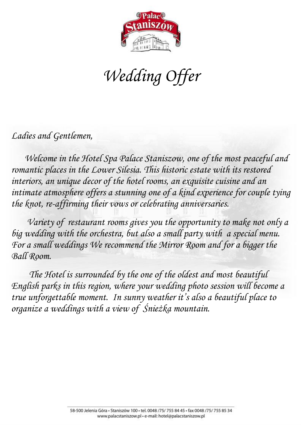

*Wedding Offer*

*Ladies and Gentlemen,*

 *Welcome in the Hotel Spa Palace Staniszow, one of the most peaceful and romantic places in the Lower Silesia. This historic estate with its restored*  interiors, an unique decor of the hotel rooms, an exquisite cuisine and an intimate atmosphere offers a stunning one of a kind experience for couple tying *the knot, re-affirming their vows or celebrating anniversaries.* 

 *Variety of restaurant rooms gives you the opportunity to make not only a big wedding with the orchestra, but also a small party with a special menu. For a small weddings We recommend the Mirror Room and for a bigger the Ball Room.* 

 *The Hotel is surrounded by the one of the oldest and most beautiful English parks in this region, where your wedding photo session will become a true unforgettable moment. In sunny weather it's also a beautiful place to organize a weddings with a view of Śnieżka mountain.*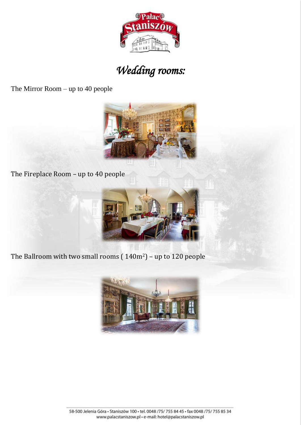

# *Wedding rooms:*

The Mirror Room – up to 40 people



The Fireplace Room – up to 40 people



The Ballroom with two small rooms ( 140m2) – up to 120 people

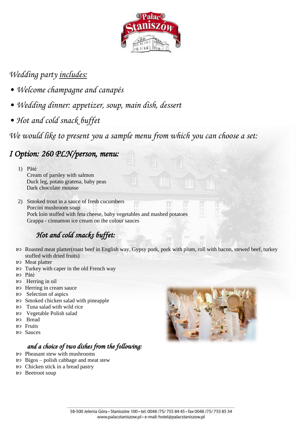

### *Wedding party includes:*

- *Welcome champagne and canapés*
- *Wedding dinner: appetizer, soup, main dish, dessert*
- *Hot and cold snack buffet*

*We would like to present you a sample menu from which you can choose a set:*

# *I Option: 260 PLN/person, menu:*

1) Pâté Cream of parsley with salmon Duck leg, potato gratena, baby peas Dark chocolate mousse

2) Smoked trout in a sauce of fresh cucumbers Porcini mushroom soup Pork loin stuffed with feta cheese, baby vegetables and mashed potatoes Grappa - cinnamon ice cream on the colour sauces

# *Hot and cold snacks buffet:*

- Roasted meat platter(roast beef in English way, Gypsy pork, pork with plum, roll with bacon, stewed beef, turkey stuffed with dried fruits)
- Meat platter
- Turkey with caper in the old French way
- Pâté
- Herring in oil
- Herring in cream sauce
- Selection of aspics
- Smoked chicken salad with pineapple
- Tuna salad with wild rice
- Vegetable Polish salad
- Bread
- **RO** Fruits
- Sauces

#### *and a choice of two dishes from the following:*

- Pheasant stew with mushrooms
- $\infty$  Bigos polish cabbage and meat stew
- Chicken stick in a bread pastry
- 80 Beetroot soup

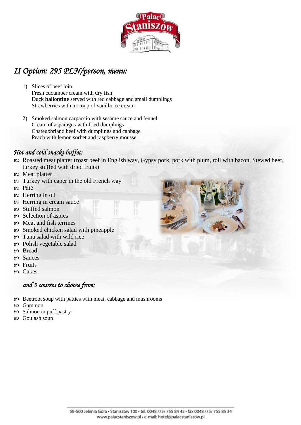

## *II Option: 295 PLN/person, menu:*

- 1) Slices of beef loin Fresh cucumber cream with dry fish Duck **ballontine** served with red cabbage and small dumplings Strawberries with a scoop of vanilla ice cream
- 2) Smoked salmon carpaccio with sesame sauce and fennel Cream of asparagus with fried dumplings Chateuxbriand beef with dumplings and cabbage Peach with lemon sorbet and raspberry mousse

#### *Hot and cold snacks buffet:*

- Roasted meat platter (roast beef in English way, Gypsy pork, pork with plum, roll with bacon, Stewed beef, turkey stuffed with dried fruits)
- Meat platter
- Turkey with caper in the old French way
- Pâté
- Herring in oil
- Herring in cream sauce
- Stuffed salmon
- Selection of aspics
- Meat and fish terrines
- Smoked chicken salad with pineapple
- Tuna salad with wild rice
- Polish vegetable salad
- හ Bread
- Sauces
- Fruits
- Cakes

#### *and 3 courses to choose from:*

- Beetroot soup with patties with meat, cabbage and mushrooms
- Gammon
- Salmon in puff pastry
- Goulash soup



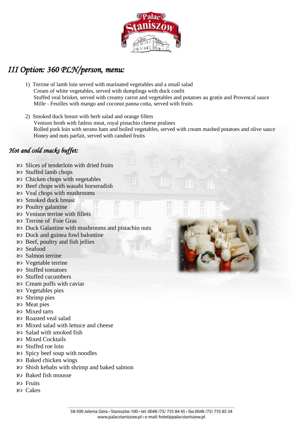

### *III Option: 360 PLN/person, menu:*

- 1) Terrine of lamb loin served with marinated vegetables and a small salad Cream of white vegetables, served with dumplings with duck confit Stuffed veal brisket, served with creamy carrot and vegetables and potatoes au gratin and Provencal sauce Mille - Feuilles with mango and coconut panna cotta, served with fruits
- 2) Smoked duck breast with herb salad and orange fillets Venison broth with fatless meat, royal pistachio cheese pralines Rolled pork loin with serano ham and boiled vegetables, served with cream mashed potatoes and olive sauce Honey and nuts parfait, served with candied fruits

#### *Hot and cold snacks buffet:*

- Slices of tenderloin with dried fruits
- Stuffed lamb chops
- Chicken chops with vegetables
- Beef chops with wasabi horseradish
- Veal chops with mushrooms
- Smoked duck breast
- Poultry galantine
- Venison terrine with fillets
- Terrine of Foie Gras
- Duck Galantine with mushrooms and pistachio nuts
- Duck and guinea fowl balontine
- Beef, poultry and fish jellies
- Seafood
- 80 Salmon terrine
- Vegetable terrine
- Stuffed tomatoes
- Stuffed cucumbers
- Cream puffs with caviar
- Vegetables pies
- Shrimp pies
- Meat pies
- Mixed tarts
- Roasted veal salad
- Mixed salad with lettuce and cheese
- 80 Salad with smoked fish
- Mixed Cocktails
- Stuffed roe loin
- Spicy beef soup with noodles
- Baked chicken wings
- Shish kebabs with shrimp and baked salmon
- Baked fish mousse
- Fruits
- Cakes

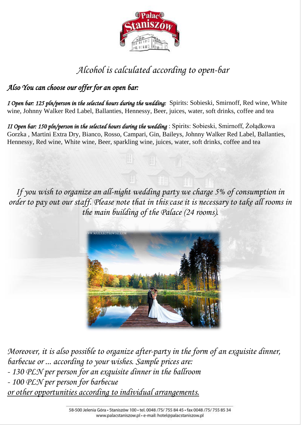

# *Alcohol is calculated according to open-bar*

### *Also You can choose our offer for an open bar:*

*I Open bar: 125 pln/person in the selected hours during the wedding:*Spirits: Sobieski, Smirnoff, Red wine, White wine, Johnny Walker Red Label, Ballanties, Hennessy, Beer, juices, water, soft drinks, coffee and tea

*II Open bar: 150 pln/person in the selected hours during the wedding* : Spirits: Sobieski, Smirnoff, Żołądkowa Gorzka , Martini Extra Dry, Bianco, Rosso, Campari, Gin, Baileys, Johnny Walker Red Label, Ballanties, Hennessy, Red wine, White wine, Beer, sparkling wine, juices, water, soft drinks, coffee and tea

*If you wish to organize an all-night wedding party we charge 5% of consumption in order to pay out our staff. Please note that in this case it is necessary to take all rooms in the main building of the Palace (24 rooms).*



*Moreover, it is also possible to organize after-party in the form of an exquisite dinner, barbecue or ... according to your wishes. Sample prices are: - 130 PLN per person for an exquisite dinner in the ballroom - 100 PLN per person for barbecue or other opportunities according to individual arrangements.*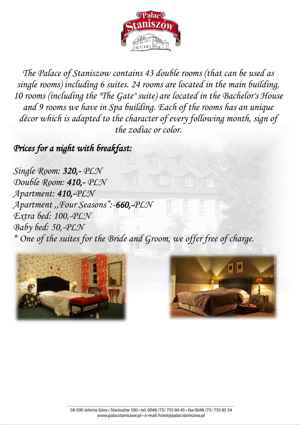

*The Palace of Staniszow contains 43 double rooms (that can be used as single rooms) including 6 suites. 24 rooms are located in the main building, 10 rooms (including the "The Gate" suite) are located in the Bachelor's House and 9 rooms we have in Spa building. Each of the rooms has an unique décor which is adapted to the character of every following month, sign of the zodiac or color.*

*Prices for a night with breakfast:*

*Single Room: 320,- PLN Double Room: 410,- PLN Apartment: 410,-PLN Apartment ,,Four Seasons":-660,-PLN Extra bed: 100,-PLN Baby bed: 50,-PLN \* One of the suites for the Bride and Groom, we offer free of charge.*